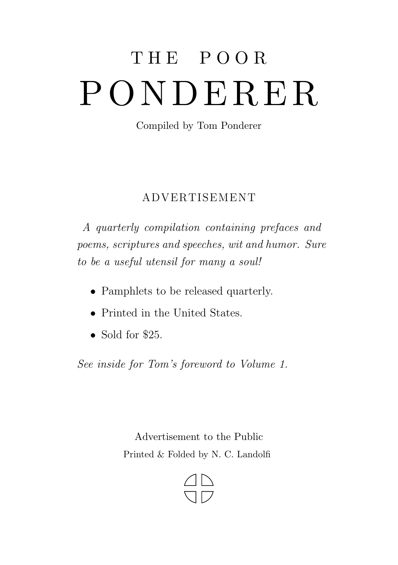## THE POOR PONDERER

Compiled by Tom Ponderer

## ADVERT ISEMENT

A quarterly compilation containing prefaces and poems, scriptures and speeches, wit and humor. Sure to be a useful utensil for many a soul!

- Pamphlets to be released quarterly.
- Printed in the United States.
- Sold for \$25.

See inside for Tom's foreword to Volume 1.

Advertisement to the Public Printed & Folded by N. C. Landolfi

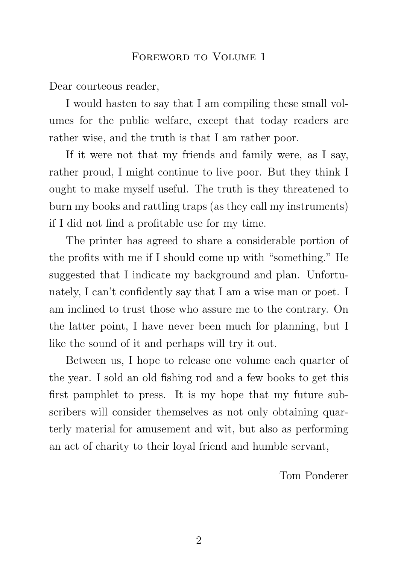## FOREWORD TO VOLUME 1

Dear courteous reader,

I would hasten to say that I am compiling these small volumes for the public welfare, except that today readers are rather wise, and the truth is that I am rather poor.

If it were not that my friends and family were, as I say, rather proud, I might continue to live poor. But they think I ought to make myself useful. The truth is they threatened to burn my books and rattling traps (as they call my instruments) if I did not find a profitable use for my time.

The printer has agreed to share a considerable portion of the profits with me if I should come up with "something." He suggested that I indicate my background and plan. Unfortunately, I can't confidently say that I am a wise man or poet. I am inclined to trust those who assure me to the contrary. On the latter point, I have never been much for planning, but I like the sound of it and perhaps will try it out.

Between us, I hope to release one volume each quarter of the year. I sold an old fishing rod and a few books to get this first pamphlet to press. It is my hope that my future subscribers will consider themselves as not only obtaining quarterly material for amusement and wit, but also as performing an act of charity to their loyal friend and humble servant,

Tom Ponderer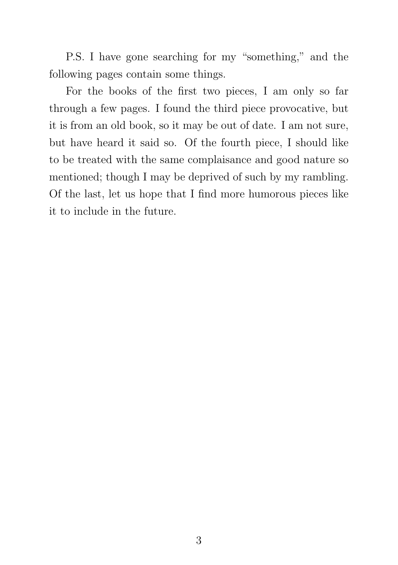P.S. I have gone searching for my "something," and the following pages contain some things.

For the books of the first two pieces, I am only so far through a few pages. I found the third piece provocative, but it is from an old book, so it may be out of date. I am not sure, but have heard it said so. Of the fourth piece, I should like to be treated with the same complaisance and good nature so mentioned; though I may be deprived of such by my rambling. Of the last, let us hope that I find more humorous pieces like it to include in the future.